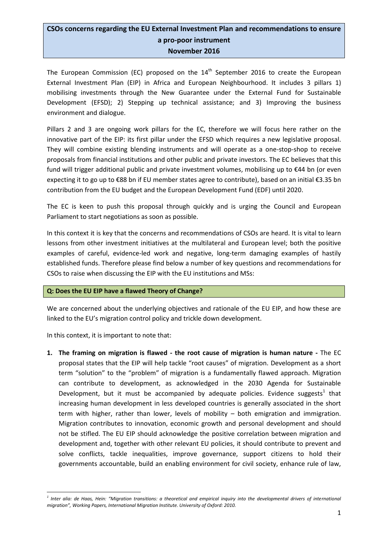# **CSOs concerns regarding the EU External Investment Plan and recommendations to ensure a pro-poor instrument November 2016**

The European Commission (EC) proposed on the  $14<sup>th</sup>$  September 2016 to create the European External Investment Plan (EIP) in Africa and European Neighbourhood. It includes 3 pillars 1) mobilising investments through the New Guarantee under the External Fund for Sustainable Development (EFSD); 2) Stepping up technical assistance; and 3) Improving the business environment and dialogue.

Pillars 2 and 3 are ongoing work pillars for the EC, therefore we will focus here rather on the innovative part of the EIP: its first pillar under the EFSD which requires a new legislative proposal. They will combine existing blending instruments and will operate as a one-stop-shop to receive proposals from financial institutions and other public and private investors. The EC believes that this fund will trigger additional public and private investment volumes, mobilising up to  $\epsilon$ 44 bn (or even expecting it to go up to €88 bn if EU member states agree to contribute), based on an initial €3.35 bn contribution from the EU budget and the European Development Fund (EDF) until 2020.

The EC is keen to push this proposal through quickly and is urging the Council and European Parliament to start negotiations as soon as possible.

In this context it is key that the concerns and recommendations of CSOs are heard. It is vital to learn lessons from other investment initiatives at the multilateral and European level; both the positive examples of careful, evidence-led work and negative, long-term damaging examples of hastily established funds. Therefore please find below a number of key questions and recommendations for CSOs to raise when discussing the EIP with the EU institutions and MSs:

# **Q: Does the EU EIP have a flawed Theory of Change?**

We are concerned about the underlying objectives and rationale of the EU EIP, and how these are linked to the EU's migration control policy and trickle down development.

In this context, it is important to note that:

**.** 

**1. The framing on migration is flawed - the root cause of migration is human nature -** The EC proposal states that the EIP will help tackle "root causes" of migration. Development as a short term "solution" to the "problem" of migration is a fundamentally flawed approach. Migration can contribute to development, as acknowledged in the 2030 Agenda for Sustainable Development, but it must be accompanied by adequate policies. Evidence suggests<sup>1</sup> that increasing human development in less developed countries is generally associated in the short term with higher, rather than lower, levels of mobility – both emigration and immigration. Migration contributes to innovation, economic growth and personal development and should not be stifled. The EU EIP should acknowledge the positive correlation between migration and development and, together with other relevant EU policies, it should contribute to prevent and solve conflicts, tackle inequalities, improve governance, support citizens to hold their governments accountable, build an enabling environment for civil society, enhance rule of law,

*<sup>1</sup> Inter alia: de Haas, Hein: "Migration transitions: a theoretical and empirical inquiry into the developmental drivers of international migration", Working Papers, International Migration Institute. University of Oxford: 2010.*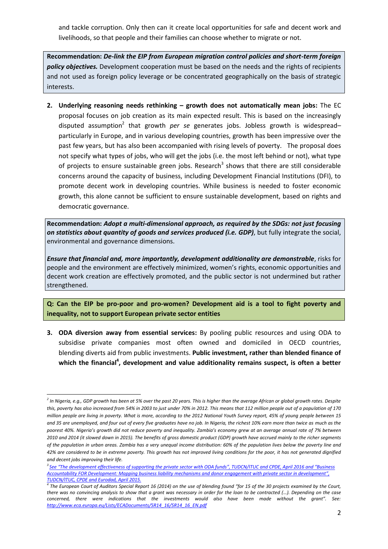and tackle corruption. Only then can it create local opportunities for safe and decent work and livelihoods, so that people and their families can choose whether to migrate or not.

**Recommendation:** *De-link the EIP from European migration control policies and short-term foreign policy objectives.* Development cooperation must be based on the needs and the rights of recipients and not used as foreign policy leverage or be concentrated geographically on the basis of strategic interests.

**2. Underlying reasoning needs rethinking – growth does not automatically mean jobs:** The EC proposal focuses on job creation as its main expected result. This is based on the increasingly disputed assumption<sup>2</sup> that growth *per se* generates jobs. Jobless growth is widespread– particularly in Europe, and in various developing countries, growth has been impressive over the past few years, but has also been accompanied with rising levels of poverty. The proposal does not specify what types of jobs, who will get the jobs (i.e. the most left behind or not), what type of projects to ensure sustainable green jobs. Research<sup>3</sup> shows that there are still considerable concerns around the capacity of business, including Development Financial Institutions (DFI), to promote decent work in developing countries. While business is needed to foster economic growth, this alone cannot be sufficient to ensure sustainable development, based on rights and democratic governance.

**Recommendation:** *Adopt a multi-dimensional approach, as required by the SDGs: not just focusing on statistics about quantity of goods and services produced (i.e. GDP)*, but fully integrate the social, environmental and governance dimensions.

*Ensure that financial and, more importantly, development additionality are demonstrable*, risks for people and the environment are effectively minimized, women's rights, economic opportunities and decent work creation are effectively promoted, and the public sector is not undermined but rather strengthened.

**Q: Can the EIP be pro-poor and pro-women? Development aid is a tool to fight poverty and inequality, not to support European private sector entities** 

**3. ODA diversion away from essential services:** By pooling public resources and using ODA to subsidise private companies most often owned and domiciled in OECD countries, blending diverts aid from public investments. **Public investment, rather than blended finance of**  which the financial<sup>4</sup>, development and value additionality remains suspect, is often a better

1

*<sup>2</sup> In Nigeria, e.g., GDP growth has been at 5% over the past 20 years. This is higher than the average African or global growth rates. Despite this, poverty has also increased from 54% in 2003 to just under 70% in 2012. This means that 112 million people out of a population of 170 million people are living in poverty. What is more, according to the 2012 National Youth Survey report, 45% of young people between 15 and 35 are unemployed, and four out of every five graduates have no job. In Nigeria, the richest 10% earn more than twice as much as the poorest 40%. Nigeria's growth did not reduce poverty and inequality. Zambia's economy grew at an average annual rate of 7% between 2010 and 2014 (it slowed down in 2015). The benefits of gross domestic product (GDP) growth have accrued mainly to the richer segments of the population in urban areas. Zambia has a very unequal income distribution: 60% of the population lives below the poverty line and 42% are considered to be in extreme poverty. This growth has not improved living conditions for the poor, it has not generated dignified and decent jobs improving their life.*

*<sup>3</sup> See "[The development effectiveness of supporting the private sector with ODA funds](http://www.ituc-csi.org/DFI-study)", TUDCN/ITUC and CPDE, April 2016 and "[Business](http://www.ituc-csi.org/business-accountability-for-development)  [Accountability FOR Development: Mapping business liability mechanisms and donor engagement with private sector in development](http://www.ituc-csi.org/business-accountability-for-development)", TUDCN/ITUC, CPDE and Eurodad, April 2015.*

*<sup>4</sup> The European Court of Auditors Special Report 16 (2014) on the use of blending found "for 15 of the 30 projects examined by the Court, there was no convincing analysis to show that a grant was necessary in order for the loan to be contracted (…). Depending on the case concerned, there were indications that the investments would also have been made without the grant". See: [http://www.eca.europa.eu/Lists/ECADocuments/SR14\\_16/SR14\\_16\\_EN.pdf](http://www.eca.europa.eu/Lists/ECADocuments/SR14_16/SR14_16_EN.pdf)*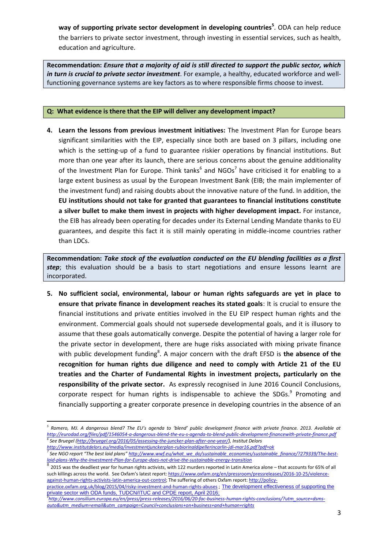**way of supporting private sector development in developing countries<sup>5</sup>** . ODA can help reduce the barriers to private sector investment, through investing in essential services, such as health, education and agriculture.

**Recommendation:** *Ensure that a majority of aid is still directed to support the public sector, which in turn is crucial to private sector investment*. For example, a healthy, educated workforce and wellfunctioning governance systems are key factors as to where responsible firms choose to invest.

# **Q: What evidence is there that the EIP will deliver any development impact?**

**4. Learn the lessons from previous investment initiatives:** The Investment Plan for Europe bears significant similarities with the EIP, especially since both are based on 3 pillars, including one which is the setting-up of a fund to guarantee riskier operations by financial institutions. But more than one year after its launch, there are serious concerns about the genuine additionality of the Investment Plan for Europe. Think tanks<sup>6</sup> and NGOs<sup>7</sup> have criticised it for enabling to a large extent business as usual by the European Investment Bank (EIB; the main implementer of the investment fund) and raising doubts about the innovative nature of the fund. In addition, the **EU institutions should not take for granted that guarantees to financial institutions constitute a silver bullet to make them invest in projects with higher development impact.** For instance, the EIB has already been operating for decades under its External Lending Mandate thanks to EU guarantees, and despite this fact it is still mainly operating in middle-income countries rather than LDCs.

**Recommendation:** *Take stock of the evaluation conducted on the EU blending facilities as a first step*; this evaluation should be a basis to start negotiations and ensure lessons learnt are incorporated.

**5. No sufficient social, environmental, labour or human rights safeguards are yet in place to ensure that private finance in development reaches its stated goals**: It is crucial to ensure the financial institutions and private entities involved in the EU EIP respect human rights and the environment. Commercial goals should not supersede developmental goals, and it is illusory to assume that these goals automatically converge. Despite the potential of having a larger role for the private sector in development, there are huge risks associated with mixing private finance with public development funding<sup>8</sup>. A major concern with the draft EFSD is the absence of the **recognition for human rights due diligence and need to comply with Article 21 of the EU treaties and the Charter of Fundamental Rights in investment projects, particularly on the responsibility of the private sector.** As expressly recognised in June 2016 Council Conclusions, corporate respect for human rights is indispensable to achieve the SDGs. $<sup>9</sup>$  Promoting and</sup> financially supporting a greater corporate presence in developing countries in the absence of an

8 2015 was the deadliest year for human rights activists, with 122 murders reported in Latin America alone – that accounts for 65% of all such killings across the world. See Oxfam's latest report: [https://www.oxfam.org/en/pressroom/pressreleases/2016-10-25/violence](https://www.oxfam.org/en/pressroom/pressreleases/2016-10-25/violence-against-human-rights-activists-latin-america-out-control)[against-human-rights-activists-latin-america-out-control;](https://www.oxfam.org/en/pressroom/pressreleases/2016-10-25/violence-against-human-rights-activists-latin-america-out-control) The suffering of others Oxfam report[: http://policy-](http://policy-practice.oxfam.org.uk/blog/2015/04/risky-investment-and-human-rights-abuses)

[practice.oxfam.org.uk/blog/2015/04/risky-investment-and-human-rights-abuses](http://policy-practice.oxfam.org.uk/blog/2015/04/risky-investment-and-human-rights-abuses) ; [The development effectiveness of supporting the](http://www.ituc-csi.org/DFI-study)  [private sector with ODA funds,](http://www.ituc-csi.org/DFI-study) TUDCN/ITUC and CPDE report, April 2016; *9 [http://www.consilium.europa.eu/en/press/press-releases/2016/06/20-fac-business-human-rights-conclusions/?utm\\_source=dsms](http://www.consilium.europa.eu/en/press/press-releases/2016/06/20-fac-business-human-rights-conclusions/?utm_source=dsms-auto&utm_medium=email&utm_campaign=Council+conclusions+on+business+and+human+rights)[auto&utm\\_medium=email&utm\\_campaign=Council+conclusions+on+business+and+human+rights](http://www.consilium.europa.eu/en/press/press-releases/2016/06/20-fac-business-human-rights-conclusions/?utm_source=dsms-auto&utm_medium=email&utm_campaign=Council+conclusions+on+business+and+human+rights)*

<sup>1</sup> *5 Romero, MJ. A dangerous blend? The EU's agenda to 'blend' public development finance with private finance. 2013. Available at <http://eurodad.org/files/pdf/1546054-a-dangerous-blend-the-eu-s-agenda-to-blend-public-development-financewith-private-finance.pdf> 6 See Bruegel [\(http://bruegel.org/2016/05/assessing-the-juncker-plan-after-one-year/\),](http://bruegel.org/2016/05/assessing-the-juncker-plan-after-one-year/) Institut Delors* 

*<http://www.institutdelors.eu/media/investmentjunckerplan-rubiorinaldipellerincarlin-jdi-mar16.pdf?pdf=ok>* <sup>7</sup> See NGO report "The best laid plans" <u>http://www.wwf.eu/what\_we\_do/sustainable\_economies/sustainable\_finance/?279339/The-best-</u> *[laid-plans-Why-the-Investment-Plan-for-Europe-does-not-drive-the-sustainable-energy-transition](http://www.wwf.eu/what_we_do/sustainable_economies/sustainable_finance/?279339/The-best-laid-plans-Why-the-Investment-Plan-for-Europe-does-not-drive-the-sustainable-energy-transition)*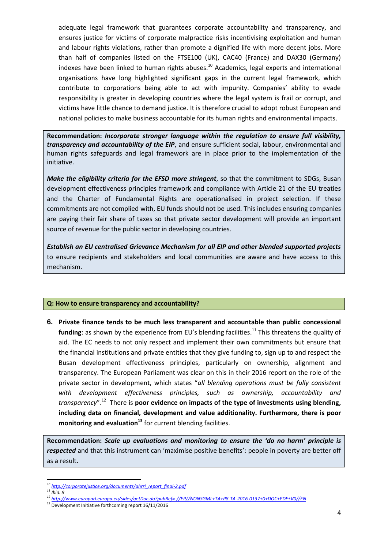adequate legal framework that guarantees corporate accountability and transparency, and ensures justice for victims of corporate malpractice risks incentivising exploitation and human and labour rights violations, rather than promote a dignified life with more decent jobs. More than half of companies listed on the FTSE100 (UK), CAC40 (France) and DAX30 (Germany) indexes have been linked to human rights abuses.<sup>10</sup> Academics, legal experts and international organisations have long highlighted significant gaps in the current legal framework, which contribute to corporations being able to act with impunity. Companies' ability to evade responsibility is greater in developing countries where the legal system is frail or corrupt, and victims have little chance to demand justice. It is therefore crucial to adopt robust European and national policies to make business accountable for its human rights and environmental impacts.

**Recommendation:** *Incorporate stronger language within the regulation to ensure full visibility, transparency and accountability of the EIP*, and ensure sufficient social, labour, environmental and human rights safeguards and legal framework are in place prior to the implementation of the initiative.

*Make the eligibility criteria for the EFSD more stringent*, so that the commitment to SDGs, Busan development effectiveness principles framework and compliance with Article 21 of the EU treaties and the Charter of Fundamental Rights are operationalised in project selection. If these commitments are not complied with, EU funds should not be used. This includes ensuring companies are paying their fair share of taxes so that private sector development will provide an important source of revenue for the public sector in developing countries.

*Establish an EU centralised Grievance Mechanism for all EIP and other blended supported projects* to ensure recipients and stakeholders and local communities are aware and have access to this mechanism.

# **Q: How to ensure transparency and accountability?**

**6. Private finance tends to be much less transparent and accountable than public concessional** funding: as shown by the experience from EU's blending facilities.<sup>11</sup> This threatens the quality of aid. The EC needs to not only respect and implement their own commitments but ensure that the financial institutions and private entities that they give funding to, sign up to and respect the Busan development effectiveness principles, particularly on ownership, alignment and transparency. The European Parliament was clear on this in their 2016 report on the role of the private sector in development, which states "*all blending operations must be fully consistent with development effectiveness principles, such as ownership, accountability and transparency*".<sup>12</sup> There is **poor evidence on impacts of the type of investments using blending, including data on financial, development and value additionality. Furthermore, there is poor monitoring and evaluation<sup>13</sup>** for current blending facilities.

**Recommendation:** *Scale up evaluations and monitoring to ensure the 'do no harm' principle is respected* and that this instrument can 'maximise positive benefits': people in poverty are better off as a result.

<sup>1</sup> *<sup>10</sup> [http://corporatejustice.org/documents/ahrri\\_report\\_final-2.pdf](http://corporatejustice.org/documents/ahrri_report_final-2.pdf)*

*<sup>11</sup> Ibid. 8*

*<sup>12</sup> <http://www.europarl.europa.eu/sides/getDoc.do?pubRef=-//EP//NONSGML+TA+P8-TA-2016-0137+0+DOC+PDF+V0//EN>*

<sup>&</sup>lt;sup>13</sup> Development Initiative forthcoming report 16/11/2016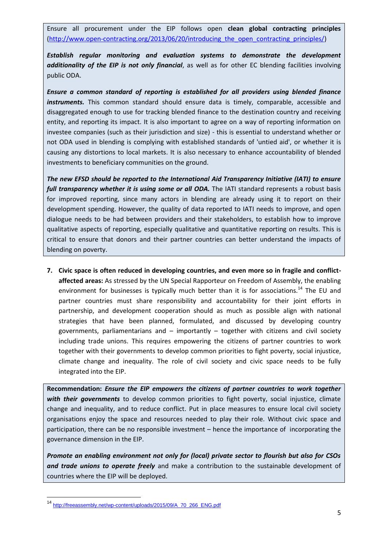Ensure all procurement under the EIP follows open **clean global contracting principles** (http://www.open-contracting.org/2013/06/20/introducing the open contracting principles/)

*Establish regular monitoring and evaluation systems to demonstrate the development additionality of the EIP is not only financial*, as well as for other EC blending facilities involving public ODA.

*Ensure a common standard of reporting is established for all providers using blended finance instruments*. This common standard should ensure data is timely, comparable, accessible and disaggregated enough to use for tracking blended finance to the destination country and receiving entity, and reporting its impact. It is also important to agree on a way of reporting information on investee companies (such as their jurisdiction and size) - this is essential to understand whether or not ODA used in blending is complying with established standards of 'untied aid', or whether it is causing any distortions to local markets. It is also necessary to enhance accountability of blended investments to beneficiary communities on the ground.

*The new EFSD should be reported to the International Aid Transparency Initiative (IATI) to ensure full transparency whether it is using some or all ODA.* The IATI standard represents a robust basis for improved reporting, since many actors in blending are already using it to report on their development spending. However, the quality of data reported to IATI needs to improve, and open dialogue needs to be had between providers and their stakeholders, to establish how to improve qualitative aspects of reporting, especially qualitative and quantitative reporting on results. This is critical to ensure that donors and their partner countries can better understand the impacts of blending on poverty.

**7. Civic space is often reduced in developing countries, and even more so in fragile and conflictaffected areas:** As stressed by the UN Special Rapporteur on Freedom of Assembly, the enabling environment for businesses is typically much better than it is for associations.<sup>14</sup> The EU and partner countries must share responsibility and accountability for their joint efforts in partnership, and development cooperation should as much as possible align with national strategies that have been planned, formulated, and discussed by developing country governments, parliamentarians and – importantly – together with citizens and civil society including trade unions. This requires empowering the citizens of partner countries to work together with their governments to develop common priorities to fight poverty, social injustice, climate change and inequality. The role of civil society and civic space needs to be fully integrated into the EIP.

**Recommendation:** *Ensure the EIP empowers the citizens of partner countries to work together with their governments* to develop common priorities to fight poverty, social injustice, climate change and inequality, and to reduce conflict. Put in place measures to ensure local civil society organisations enjoy the space and resources needed to play their role. Without civic space and participation, there can be no responsible investment – hence the importance of incorporating the governance dimension in the EIP.

*Promote an enabling environment not only for (local) private sector to flourish but also for CSOs and trade unions to operate freely* and make a contribution to the sustainable development of countries where the EIP will be deployed.

 $\overline{\phantom{a}}$ 

<sup>14</sup> [http://freeassembly.net/wp-content/uploads/2015/09/A\\_70\\_266\\_ENG.pdf](http://freeassembly.net/wp-content/uploads/2015/09/A_70_266_ENG.pdf)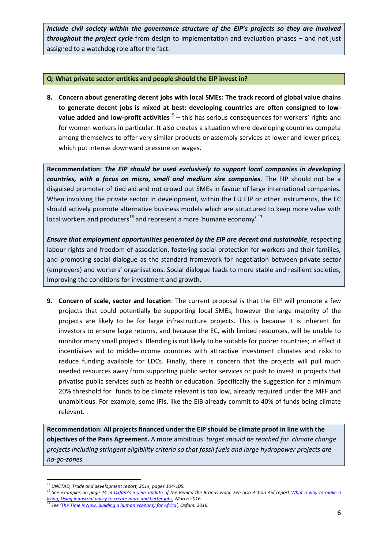*Include civil society within the governance structure of the EIP's projects so they are involved throughout the project cycle* from design to implementation and evaluation phases – and not just assigned to a watchdog role after the fact.

# **Q: What private sector entities and people should the EIP invest in?**

**8. Concern about generating decent jobs with local SMEs: The track record of global value chains to generate decent jobs is mixed at best: developing countries are often consigned to low**value added and low-profit activities<sup>15</sup> – this has serious consequences for workers' rights and for women workers in particular. It also creates a situation where developing countries compete among themselves to offer very similar products or assembly services at lower and lower prices, which put intense downward pressure on wages.

**Recommendation:** *The EIP should be used exclusively to support local companies in developing countries, with a focus on micro, small and medium size companies*. The EIP should not be a disguised promoter of tied aid and not crowd out SMEs in favour of large international companies. When involving the private sector in development, within the EU EIP or other instruments, the EC should actively promote alternative business models which are structured to keep more value with local workers and producers<sup>16</sup> and represent a more 'humane economy'.<sup>17</sup>

*Ensure that employment opportunities generated by the EIP are decent and sustainable*, respecting labour rights and freedom of association, fostering social protection for workers and their families, and promoting social dialogue as the standard framework for negotiation between private sector (employers) and workers' organisations. Social dialogue leads to more stable and resilient societies, improving the conditions for investment and growth.

**9. Concern of scale, sector and location**: The current proposal is that the EIP will promote a few projects that could potentially be supporting local SMEs, however the large majority of the projects are likely to be for large infrastructure projects. This is because it is inherent for investors to ensure large returns, and because the EC, with limited resources, will be unable to monitor many small projects. Blending is not likely to be suitable for poorer countries; in effect it incentivises aid to middle-income countries with attractive investment climates and risks to reduce funding available for LDCs. Finally, there is concern that the projects will pull much needed resources away from supporting public sector services or push to invest in projects that privatise public services such as health or education. Specifically the suggestion for a minimum 20% threshold for funds to be climate relevant is too low, already required under the MFF and unambitious. For example, some IFIs, like the EIB already commit to 40% of funds being climate relevant. .

**Recommendation: All projects financed under the EIP should be climate proof in line with the objectives of the Paris Agreement.** A more ambitious *target should be reached for climate change projects including stringent eligibility criteria so that fossil fuels and large hydropower projects are no-go-zones.*

<sup>1</sup> *<sup>15</sup> UNCTAD, Trade and development report, 2014, pages 104-105.*

<sup>&</sup>lt;sup>16</sup> See examples on page 24 in *Oxfam's 3[-year update](https://www.oxfam.org/sites/www.oxfam.org/files/file_attachments/bp-journey-to-sustainable-food-btb-190416-en.pdf)* of the Behind the Brands work. See also Action Aid report <u>What a way to make a</u> living, Using industrial policy to create more and better jobs, March 2016. *[living, Using industrial policy to create more and better jobs,](https://www.actionaid.org.uk/sites/default/files/publications/what_a_way_to_make_a_living_pdf.pdf) March 2016.*

*<sup>17</sup> See '[The Time is Now. Building a human economy for Africa](https://www.oxfam.org/en/research/time-now-0)', Oxfam. 2016.*